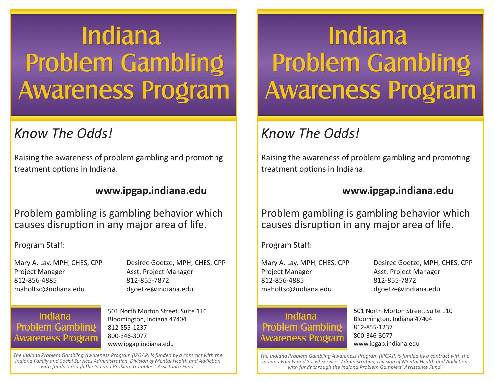# **Indiana Problem Gambling Awareness Program**

### *Know The Odds!*

Raising the awareness of problem gambling and promoting treatment options in Indiana.

#### **www.ipgap.indiana.edu**

Problem gambling is gambling behavior which causes disruption in any major area of life.

Program Staff:

Project Manager **Asst. Project Manager** Asst. Project Manager 812-856-4885 812-855-7872 maholtsc@indiana.edu dgoetze@indiana.edu

Mary A. Lay, MPH, CHES, CPP Desiree Goetze, MPH, CHES, CPP

#### **Indiana Problem Gambling Awareness Program**

501 North Morton Street, Suite 110 Bloomington, Indiana 47404 812-855-1237 800-346-3077 www.ipgap.indiana.edu

*The Indiana Problem Gambling Awareness Program (IPGAP) is funded by a contract with the Indiana Family and Social Services Administration, Division of Mental Health and Addiction with funds through the Indiana Problem Gamblers' Assistance Fund.*

## **Indiana Problem Gambling Awareness Program**

## *Know The Odds!*

Raising the awareness of problem gambling and promoting treatment options in Indiana.

#### **www.ipgap.indiana.edu**

Problem gambling is gambling behavior which causes disruption in any major area of life.

Program Staff:

Project Manager Asst. Project Manager 812-856-4885 812-855-7872 maholtsc@indiana.edu dgoetze@indiana.edu

#### **Indiana Problem Gambling Awareness Program**

Mary A. Lay, MPH, CHES, CPP Desiree Goetze, MPH, CHES, CPP

501 North Morton Street, Suite 110 Bloomington, Indiana 47404 812-855-1237 800-346-3077 www.ipgap.indiana.edu

*The Indiana Problem Gambling Awareness Program (IPGAP) is funded by a contract with the Indiana Family and Social Services Administration, Division of Mental Health and Addiction with funds through the Indiana Problem Gamblers' Assistance Fund.*